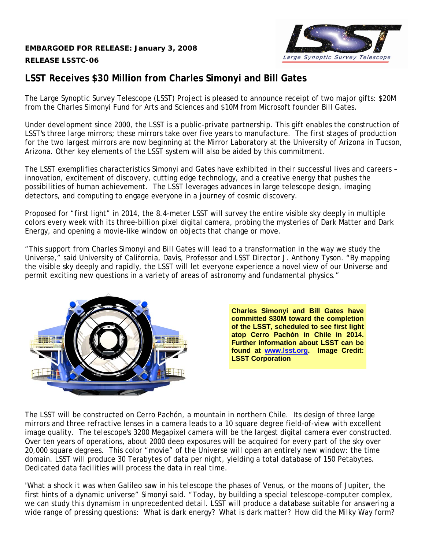## **EMBARGOED FOR RELEASE: January 3, 2008 RELEASE LSSTC-06**



## **LSST Receives \$30 Million from Charles Simonyi and Bill Gates**

The Large Synoptic Survey Telescope (LSST) Project is pleased to announce receipt of two major gifts: \$20M from the Charles Simonyi Fund for Arts and Sciences and \$10M from Microsoft founder Bill Gates.

Under development since 2000, the LSST is a public-private partnership. This gift enables the construction of LSST's three large mirrors; these mirrors take over five years to manufacture. The first stages of production for the two largest mirrors are now beginning at the Mirror Laboratory at the University of Arizona in Tucson, Arizona. Other key elements of the LSST system will also be aided by this commitment.

The LSST exemplifies characteristics Simonyi and Gates have exhibited in their successful lives and careers – innovation, excitement of discovery, cutting edge technology, and a creative energy that pushes the possibilities of human achievement. The LSST leverages advances in large telescope design, imaging detectors, and computing to engage everyone in a journey of cosmic discovery.

Proposed for "first light" in 2014, the 8.4-meter LSST will survey the entire visible sky deeply in multiple colors every week with its three-billion pixel digital camera, probing the mysteries of Dark Matter and Dark Energy, and opening a movie-like window on objects that change or move.

"This support from Charles Simonyi and Bill Gates will lead to a transformation in the way we study the Universe," said University of California, Davis, Professor and LSST Director J. Anthony Tyson. "By mapping the visible sky deeply and rapidly, the LSST will let everyone experience a novel view of our Universe and permit exciting new questions in a variety of areas of astronomy and fundamental physics."



**Charles Simonyi and Bill Gates have committed \$30M toward the completion of the LSST, scheduled to see first light atop Cerro Pachón in Chile in 2014. Further information about LSST can be found at [www.lsst.org.](http://www.lsst.org/) Image Credit: LSST Corporation** 

The LSST will be constructed on Cerro Pachón, a mountain in northern Chile. Its design of three large mirrors and three refractive lenses in a camera leads to a 10 square degree field-of-view with excellent image quality. The telescope's 3200 Megapixel camera will be the largest digital camera ever constructed. Over ten years of operations, about 2000 deep exposures will be acquired for every part of the sky over 20,000 square degrees. This color "movie" of the Universe will open an entirely new window: the time domain. LSST will produce 30 Terabytes of data per night, yielding a total database of 150 Petabytes. Dedicated data facilities will process the data in real time.

"What a shock it was when Galileo saw in his telescope the phases of Venus, or the moons of Jupiter, the first hints of a dynamic universe" Simonyi said. "Today, by building a special telescope-computer complex, we can study this dynamism in unprecedented detail. LSST will produce a database suitable for answering a wide range of pressing questions: What is dark energy? What is dark matter? How did the Milky Way form?